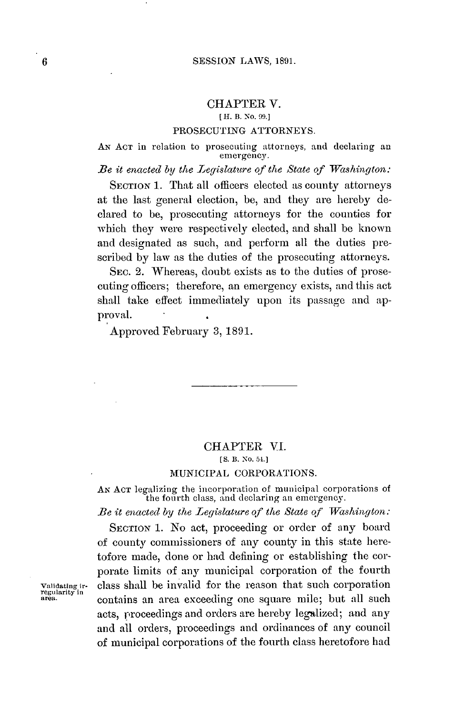## CHAPTER V.

### **[** H. B. **No. 99.]**

#### **PROSECUTING** ATTORNEYS.

AN ACT in relation to prosecuting attorneys, and declaring an emergency.

*Be it enacted by the Legislature of the State of Washington:*

SECTION 1. That all officers elected as county attorneys at the last general election, **be,** and they are hereby declared to be, prosecuting attorneys for the counties for which they were respectively elected, and shall be known and designated as such, and perform all the duties prescribed **by** law as the duties of the prosecuting attorneys.

SEC. 2. Whereas, doubt exists as to the duties of prosecuting officers; therefore, an emergency exists, and this act shall take effect immediately upon its passage and approval.

Approved February **3, 1891.**

# CHAPTER VI. *[S.* **B. No. 54.]**

## **MUNICIPAL** CORPORATIONS.

AN ACT legalizing the incorporation of municipal corporations of the fourth class, and declaring an emergency.

Be *it enacted by the Legislature* **of** the State **of** *Washington:*

**SECTION 1.** No act, proceeding or order of any board of county commissioners of any county in this state heretofore made, done or **had** defining or establishing the corporate limits of any municipal corporation of the fourth **validating ir-** class shall be invalid for the reason that such corporation **regularity in area,** contains an area exceeding one square mile; but all such acts, proceedings and orders are hereby legalized; and any and all orders, proceedings and ordinances of any council of municipal corporations of the fourth class heretofore had